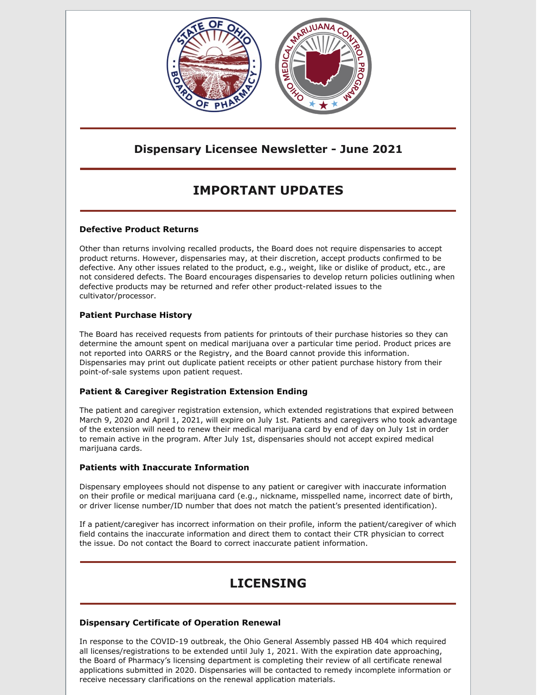

### **Dispensary Licensee Newsletter - June 2021**

## **IMPORTANT UPDATES**

### **Defective Product Returns**

Other than returns involving recalled products, the Board does not require dispensaries to accept product returns. However, dispensaries may, at their discretion, accept products confirmed to be defective. Any other issues related to the product, e.g., weight, like or dislike of product, etc., are not considered defects. The Board encourages dispensaries to develop return policies outlining when defective products may be returned and refer other product-related issues to the cultivator/processor.

### **Patient Purchase History**

The Board has received requests from patients for printouts of their purchase histories so they can determine the amount spent on medical marijuana over a particular time period. Product prices are not reported into OARRS or the Registry, and the Board cannot provide this information. Dispensaries may print out duplicate patient receipts or other patient purchase history from their point-of-sale systems upon patient request.

### **Patient & Caregiver Registration Extension Ending**

The patient and caregiver registration extension, which extended registrations that expired between March 9, 2020 and April 1, 2021, will expire on July 1st. Patients and caregivers who took advantage of the extension will need to renew their medical marijuana card by end of day on July 1st in order to remain active in the program. After July 1st, dispensaries should not accept expired medical marijuana cards.

### **Patients with Inaccurate Information**

Dispensary employees should not dispense to any patient or caregiver with inaccurate information on their profile or medical marijuana card (e.g., nickname, misspelled name, incorrect date of birth, or driver license number/ID number that does not match the patient's presented identification).

If a patient/caregiver has incorrect information on their profile, inform the patient/caregiver of which field contains the inaccurate information and direct them to contact their CTR physician to correct the issue. Do not contact the Board to correct inaccurate patient information.

# **LICENSING**

### **Dispensary Certificate of Operation Renewal**

In response to the COVID-19 outbreak, the Ohio General Assembly passed HB 404 which required all licenses/registrations to be extended until July 1, 2021. With the expiration date approaching, the Board of Pharmacy's licensing department is completing their review of all certificate renewal applications submitted in 2020. Dispensaries will be contacted to remedy incomplete information or receive necessary clarifications on the renewal application materials.